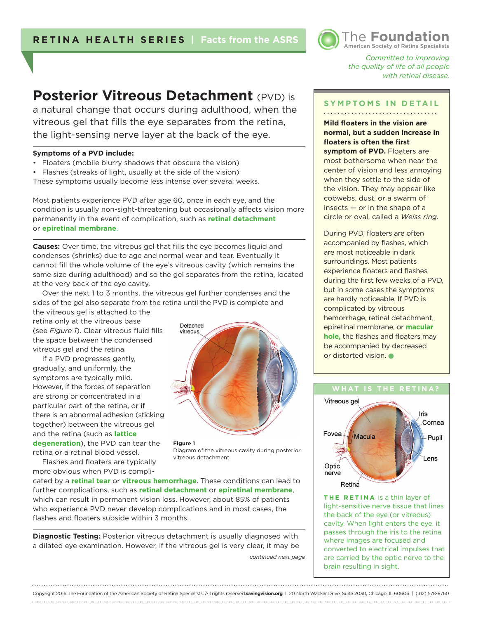# **Posterior Vitreous Detachment** (PVD) is

a natural change that occurs during adulthood, when the vitreous gel that fills the eye separates from the retina, the light-sensing nerve layer at the back of the eye.

#### **Symptoms of a PVD include:**

- Floaters (mobile blurry shadows that obscure the vision)
- Flashes (streaks of light, usually at the side of the vision)

These symptoms usually become less intense over several weeks.

Most patients experience PVD after age 60, once in each eye, and the condition is usually non-sight-threatening but occasionally affects vision more permanently in the event of complication, such as **retinal detachment**  or **epiretinal membrane**.

**Causes:** Over time, the vitreous gel that fills the eye becomes liquid and condenses (shrinks) due to age and normal wear and tear. Eventually it cannot fill the whole volume of the eye's vitreous cavity (which remains the same size during adulthood) and so the gel separates from the retina, located at the very back of the eye cavity.

Over the next 1 to 3 months, the vitreous gel further condenses and the sides of the gel also separate from the retina until the PVD is complete and

the vitreous gel is attached to the retina only at the vitreous base (see *Figure 1*). Clear vitreous fluid fills the space between the condensed vitreous gel and the retina.

If a PVD progresses gently, gradually, and uniformly, the symptoms are typically mild. However, if the forces of separation are strong or concentrated in a particular part of the retina, or if there is an abnormal adhesion (sticking together) between the vitreous gel and the retina (such as **lattice degeneration**), the PVD can tear the retina or a retinal blood vessel.

Flashes and floaters are typically more obvious when PVD is compliDetached vitreous

**Figure 1**  Diagram of the vitreous cavity during posterior vitreous detachment.

cated by a **retinal tear** or **vitreous hemorrhage**. These conditions can lead to further complications, such as **retinal detachment** or **epiretinal membrane**, which can result in permanent vision loss. However, about 85% of patients who experience PVD never develop complications and in most cases, the flashes and floaters subside within 3 months.

**Diagnostic Testing:** Posterior vitreous detachment is usually diagnosed with a dilated eye examination. However, if the vitreous gel is very clear, it may be

*continued next page*

American Society of Retina Specialists *Committed to improving* 

The **Foundation**

*the quality of life of all people with retinal disease.* 

#### **SYMPTOMS IN DETAIL**

**Mild floaters in the vision are normal, but a sudden increase in floaters is often the first symptom of PVD.** Floaters are most bothersome when near the center of vision and less annoying when they settle to the side of the vision. They may appear like cobwebs, dust, or a swarm of insects  $-$  or in the shape of a circle or oval, called a *Weiss ring*.

During PVD, floaters are often accompanied by flashes, which are most noticeable in dark surroundings. Most patients experience floaters and flashes during the first few weeks of a PVD, but in some cases the symptoms are hardly noticeable. If PVD is complicated by vitreous hemorrhage, retinal detachment, epiretinal membrane, or **macular hole,** the flashes and floaters may be accompanied by decreased or distorted vision.

### **WHAT IS THE RETINA?** Vitreous gel Iris Cornea Fovea Macula Pupil l ens Optic nerve

**THE RETINA** is a thin layer of light-sensitive nerve tissue that lines the back of the eye (or vitreous) cavity. When light enters the eye, it passes through the iris to the retina where images are focused and converted to electrical impulses that are carried by the optic nerve to the brain resulting in sight.

Retina

Copyright 2016 The Foundation of the American Society of Retina Specialists. All rights reserved.**savingvision.org** I 20 North Wacker Drive, Suite 2030, Chicago, IL 60606 | (312) 578-8760